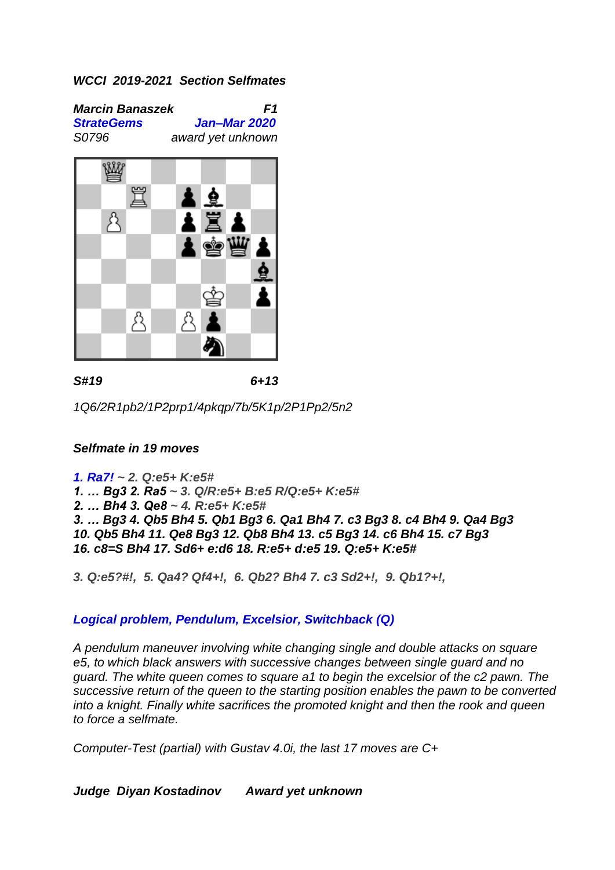*Marcin Banaszek F1 StrateGems Jan–Mar 2020 S0796 award yet unknown*



*S#19 6+13*

*1Q6/2R1pb2/1P2prp1/4pkqp/7b/5K1p/2P1Pp2/5n2*

# *Selfmate in 19 moves*

*1. Ra7! ~ 2. Q:e5+ K:e5# 1. … Bg3 2. Ra5 ~ 3. Q/R:e5+ B:e5 R/Q:e5+ K:e5# 2. … Bh4 3. Qe8 ~ 4. R:e5+ K:e5# 3. … Bg3 4. Qb5 Bh4 5. Qb1 Bg3 6. Qa1 Bh4 7. c3 Bg3 8. c4 Bh4 9. Qa4 Bg3 10. Qb5 Bh4 11. Qe8 Bg3 12. Qb8 Bh4 13. c5 Bg3 14. c6 Bh4 15. c7 Bg3 16. c8=S Bh4 17. Sd6+ e:d6 18. R:e5+ d:e5 19. Q:e5+ K:e5#*

*3. Q:e5?#!, 5. Qa4? Qf4+!, 6. Qb2? Bh4 7. c3 Sd2+!, 9. Qb1?+!,*

# *Logical problem, Pendulum, Excelsior, Switchback (Q)*

*A pendulum maneuver involving white changing single and double attacks on square e5, to which black answers with successive changes between single guard and no guard. The white queen comes to square a1 to begin the excelsior of the c2 pawn. The successive return of the queen to the starting position enables the pawn to be converted into a knight. Finally white sacrifices the promoted knight and then the rook and queen to force a selfmate.*

*Computer-Test (partial) with Gustav 4.0i, the last 17 moves are C+*

*Judge Diyan Kostadinov Award yet unknown*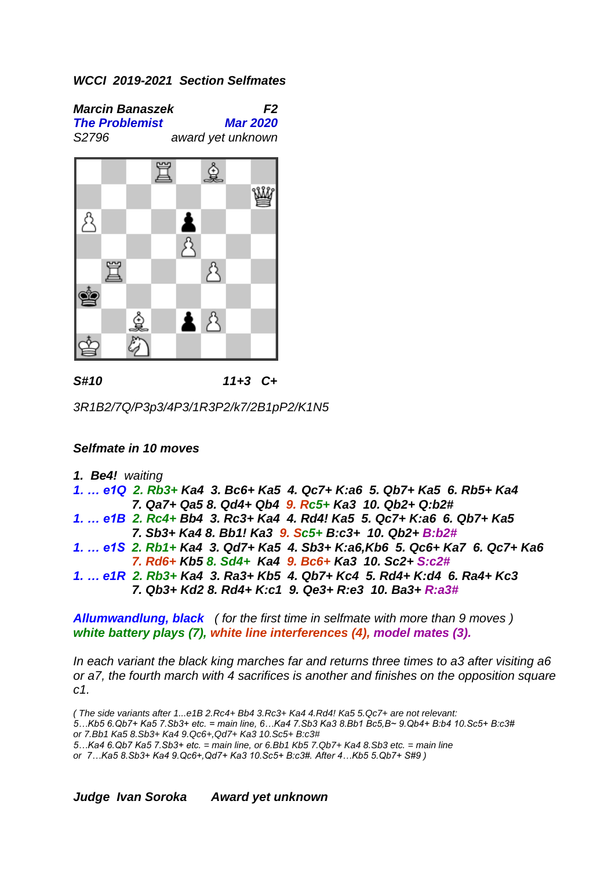*Marcin Banaszek F2 The Problemist Mar 2020 S2796 award yet unknown*



*S#10 11+3 C+*

*3R1B2/7Q/P3p3/4P3/1R3P2/k7/2B1pP2/K1N5*

# *Selfmate in 10 moves*

*1. Be4! waiting* 

*1. … e1Q 2. Rb3+ Ka4 3. Bc6+ Ka5 4. Qc7+ K:a6 5. Qb7+ Ka5 6. Rb5+ Ka4 7. Qa7+ Qa5 8. Qd4+ Qb4 9. Rc5+ Ka3 10. Qb2+ Q:b2# 1. … e1B 2. Rc4+ Bb4 3. Rc3+ Ka4 4. Rd4! Ka5 5. Qc7+ K:a6 6. Qb7+ Ka5 7. Sb3+ Ka4 8. Bb1! Ka3 9. Sc5+ B:c3+ 10. Qb2+ B:b2# 1. … e1S 2. Rb1+ Ka4 3. Qd7+ Ka5 4. Sb3+ K:a6,Kb6 5. Qc6+ Ka7 6. Qc7+ Ka6 7. Rd6+ Kb5 8. Sd4+ Ka4 9. Bc6+ Ka3 10. Sc2+ S:c2# 1. … e1R 2. Rb3+ Ka4 3. Ra3+ Kb5 4. Qb7+ Kc4 5. Rd4+ K:d4 6. Ra4+ Kc3 7. Qb3+ Kd2 8. Rd4+ K:c1 9. Qe3+ R:e3 10. Ba3+ R:a3#*

*Allumwandlung, black ( for the first time in selfmate with more than 9 moves ) white battery plays (7), white line interferences (4), model mates (3).*

*In each variant the black king marches far and returns three times to a3 after visiting a6 or a7, the fourth march with 4 sacrifices is another and finishes on the opposition square c1.*

*( The side variants after 1...e1B 2.Rc4+ Bb4 3.Rc3+ Ka4 4.Rd4! Ka5 5.Qc7+ are not relevant: 5…Kb5 6.Qb7+ Ka5 7.Sb3+ etc. = main line, 6…Ka4 7.Sb3 Ka3 8.Bb1 Bc5,B~ 9.Qb4+ B:b4 10.Sc5+ B:c3# or 7.Bb1 Ka5 8.Sb3+ Ka4 9.Qc6+,Qd7+ Ka3 10.Sc5+ B:c3# 5…Ka4 6.Qb7 Ka5 7.Sb3+ etc. = main line, or 6.Bb1 Kb5 7.Qb7+ Ka4 8.Sb3 etc. = main line or 7…Ka5 8.Sb3+ Ka4 9.Qc6+,Qd7+ Ka3 10.Sc5+ B:c3#. After 4…Kb5 5.Qb7+ S#9 )*

*Judge Ivan Soroka Award yet unknown*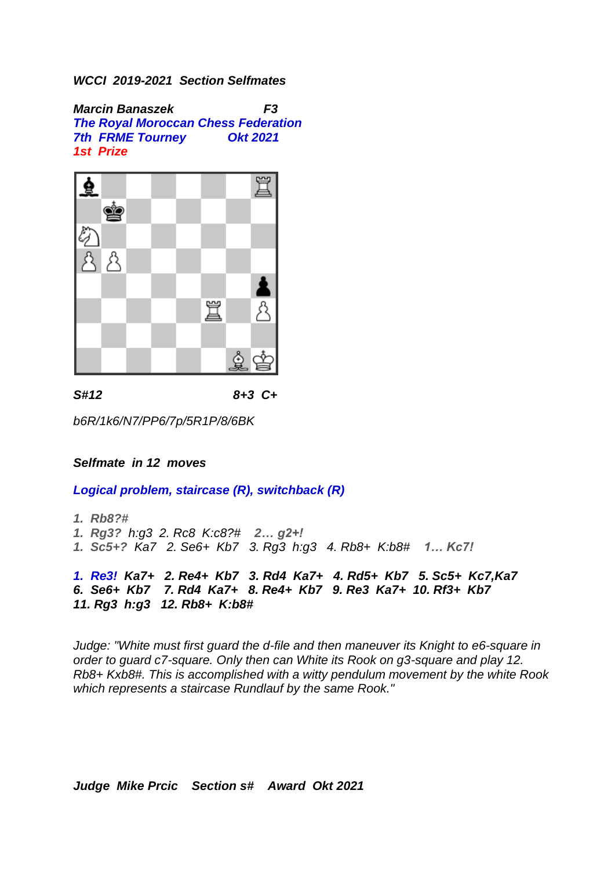*Marcin Banaszek F3 The Royal Moroccan Chess Federation 7th FRME Tourney Okt 2021 1st Prize* 



*S#12 8+3 C+*

*b6R/1k6/N7/PP6/7p/5R1P/8/6BK*

# *Selfmate in 12 moves*

*Logical problem, staircase (R), switchback (R)*

*1. Rb8?# 1. Rg3? h:g3 2. Rc8 K:c8?# 2… g2+! 1. Sc5+? Ka7 2. Se6+ Kb7 3. Rg3 h:g3 4. Rb8+ K:b8# 1… Kc7! 1. Re3! Ka7+ 2. Re4+ Kb7 3. Rd4 Ka7+ 4. Rd5+ Kb7 5. Sc5+ Kc7,Ka7 6. Se6+ Kb7 7. Rd4 Ka7+ 8. Re4+ Kb7 9. Re3 Ka7+ 10. Rf3+ Kb7 11. Rg3 h:g3 12. Rb8+ K:b8#*

*Judge: "White must first guard the d-file and then maneuver its Knight to e6-square in order to guard c7-square. Only then can White its Rook on g3-square and play 12. Rb8+ Kxb8#. This is accomplished with a witty pendulum movement by the white Rook which represents a staircase Rundlauf by the same Rook."*

*Judge Mike Prcic Section s# Award Okt 2021*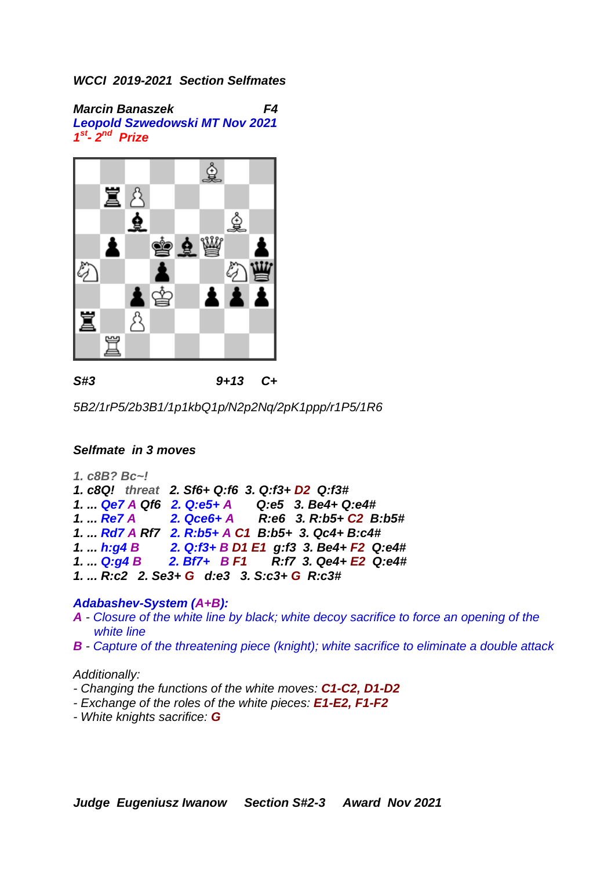*Marcin Banaszek F4 Leopold Szwedowski MT Nov 2021 1 st - 2 nd Prize* 



*S#3 9+13 C+*

*5B2/1rP5/2b3B1/1p1kbQ1p/N2p2Nq/2pK1ppp/r1P5/1R6*

# *Selfmate in 3 moves*

*1. c8B? Bc~! 1. c8Q! threat 2. Sf6+ Q:f6 3. Q:f3+ D2 Q:f3# 1. ... Qe7 A Qf6 2. Q:e5+ A 1. ... Re7 A 2. Qce6+ A R:e6 3. R:b5+ C2 B:b5# 1. ... Rd7 A Rf7 2. R:b5+ A C1 B:b5+ 3. Qc4+ B:c4# 1. ... h:g4 B 2. Q:f3+ B D1 E1 g:f3 3. Be4+ F2 Q:e4# 1. ... Q:g4 B 2. Bf7+ B F1 R:f7 3. Qe4+ E2 Q:e4# 1. ... R:c2 2. Se3+ G d:e3 3. S:c3+ G R:c3#*

#### *Adabashev-System (A+B):*

- *A - Closure of the white line by black; white decoy sacrifice to force an opening of the white line*
- *B - Capture of the threatening piece (knight); white sacrifice to eliminate a double attack*

#### *Additionally:*

- *- Changing the functions of the white moves: C1-C2, D1-D2*
- *- Exchange of the roles of the white pieces: E1-E2, F1-F2*
- *- White knights sacrifice: G*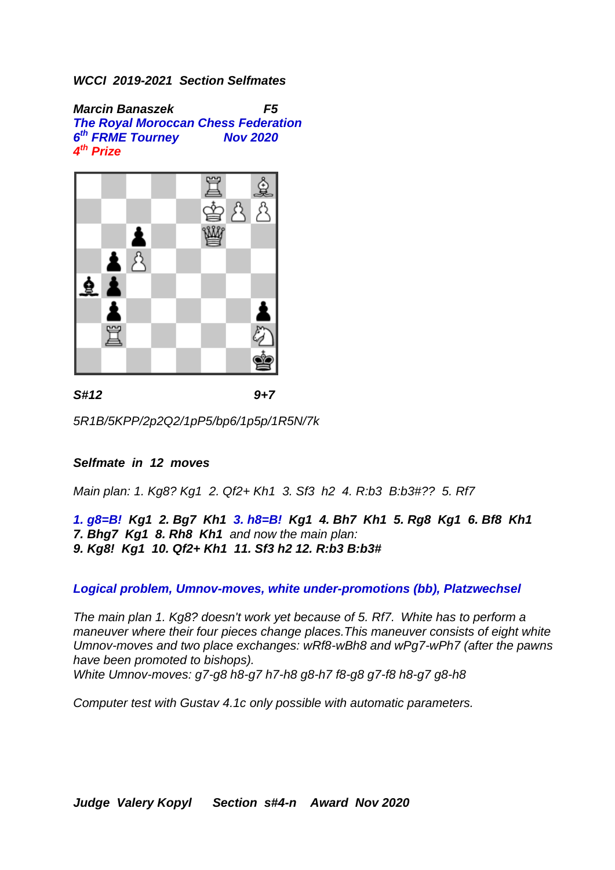*Marcin Banaszek F5 The Royal Moroccan Chess Federation 6 th FRME Tourney Nov 2020 4 th Prize* 



*S#12 9+7*

*5R1B/5KPP/2p2Q2/1pP5/bp6/1p5p/1R5N/7k*

# *Selfmate in 12 moves*

*Main plan: 1. Kg8? Kg1 2. Qf2+ Kh1 3. Sf3 h2 4. R:b3 B:b3#?? 5. Rf7*

*1. g8=B! Kg1 2. Bg7 Kh1 3. h8=B! Kg1 4. Bh7 Kh1 5. Rg8 Kg1 6. Bf8 Kh1 7. Bhg7 Kg1 8. Rh8 Kh1 and now the main plan: 9. Kg8! Kg1 10. Qf2+ Kh1 11. Sf3 h2 12. R:b3 B:b3#*

*Logical problem, Umnov-moves, white under-promotions (bb), Platzwechsel*

*The main plan 1. Kg8? doesn't work yet because of 5. Rf7. White has to perform a maneuver where their four pieces change places.This maneuver consists of eight white Umnov-moves and two place exchanges: wRf8-wBh8 and wPg7-wPh7 (after the pawns have been promoted to bishops).* 

*White Umnov-moves: g7-g8 h8-g7 h7-h8 g8-h7 f8-g8 g7-f8 h8-g7 g8-h8*

*Computer test with Gustav 4.1c only possible with automatic parameters.*